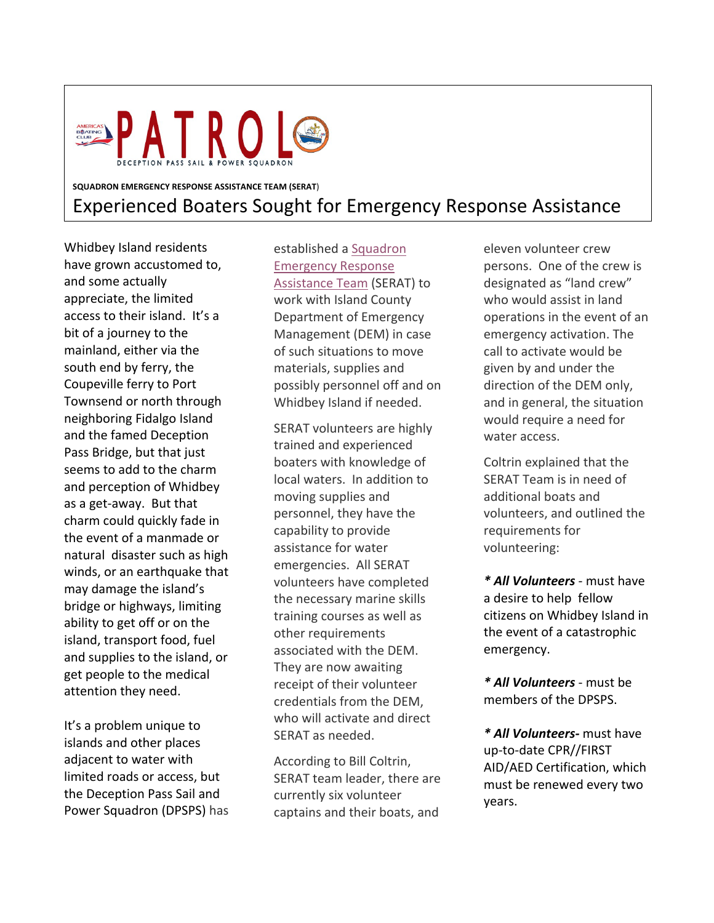

## **SQUADRON EMERGENCY RESPONSE ASSISTANCE TEAM (SERAT**) Experienced Boaters Sought for Emergency Response Assistance

Whidbey Island residents have grown accustomed to, and some actually appreciate, the limited access to their island. It's a bit of a journey to the mainland, either via the south end by ferry, the Coupeville ferry to Port Townsend or north through neighboring Fidalgo Island and the famed Deception Pass Bridge, but that just seems to add to the charm and perception of Whidbey as a get-away. But that charm could quickly fade in the event of a manmade or natural disaster such as high winds, or an earthquake that may damage the island's bridge or highways, limiting ability to get off or on the island, transport food, fuel and supplies to the island, or get people to the medical attention they need.

It's a problem unique to islands and other places adjacent to water with limited roads or access, but the Deception Pass Sail and Power Squadron (DPSPS) has established a Squadron Emergency Response Assistance Team (SERAT) to work with Island County Department of Emergency Management (DEM) in case of such situations to move materials, supplies and possibly personnel off and on Whidbey Island if needed.

SERAT volunteers are highly trained and experienced boaters with knowledge of local waters. In addition to moving supplies and personnel, they have the capability to provide assistance for water emergencies. All SERAT volunteers have completed the necessary marine skills training courses as well as other requirements associated with the DEM. They are now awaiting receipt of their volunteer credentials from the DEM, who will activate and direct SERAT as needed.

According to Bill Coltrin, SERAT team leader, there are currently six volunteer captains and their boats, and

eleven volunteer crew persons. One of the crew is designated as "land crew" who would assist in land operations in the event of an emergency activation. The call to activate would be given by and under the direction of the DEM only, and in general, the situation would require a need for water access.

Coltrin explained that the SERAT Team is in need of additional boats and volunteers, and outlined the requirements for volunteering:

*\* All Volunteers* - must have a desire to help fellow citizens on Whidbey Island in the event of a catastrophic emergency.

*\* All Volunteers* - must be members of the DPSPS.

*\* All Volunteers-* must have up-to-date CPR//FIRST AID/AED Certification, which must be renewed every two years.